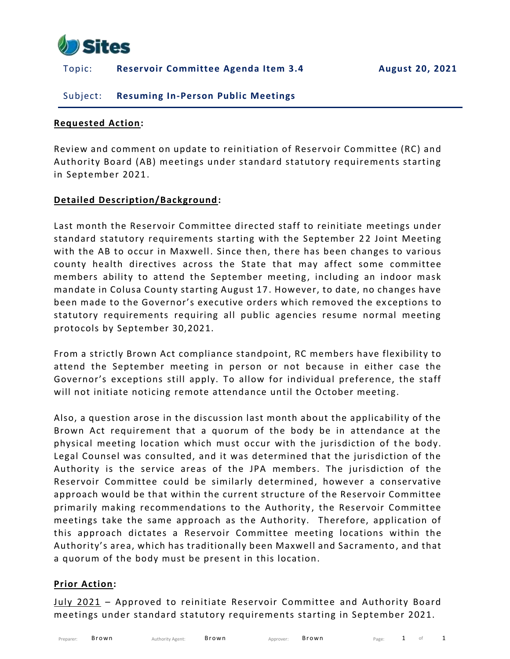

# Topic: **Reservoir Committee Agenda Item 3.4 August 20, 2021**

# Subject: **Resuming In-Person Public Meetings**

### **Requested Action:**

Review and comment on update to reinitiation of Reservoir Committee (RC) and Authority Board (AB) meetings under standard statutory requirements starting in September 2021.

### **Detailed Description/Background:**

Last month the Reservoir Committee directed staff to reinitiate meetings under standard statutory requirements starting with the September 22 Joint Meeting with the AB to occur in Maxwell. Since then, there has been changes to various county health directives across the State that may affect some committee members ability to attend the September meeting, including an indoor mask mandate in Colusa County starting August 17 . However, to date, no changes have been made to the Governor's executive orders which removed the ex ceptions to statutory requirements requiring all public agencies resume normal meeting protocols by September 30,2021.

From a strictly Brown Act compliance standpoint, RC members have flexibility to attend the September meeting in person or not because in either case the Governor's exceptions still apply. To allow for individual preference, the staff will not initiate noticing remote attendance until the October meeting.

Also, a question arose in the discussion last month about the applicability of the Brown Act requirement that a quorum of the body be in attendance at the physical meeting location which must occur with the jurisdiction of the body. Legal Counsel was consulted, and it was determined that the jurisdiction of the Authority is the service areas of the JPA members. The jurisdiction of the Reservoir Committee could be similarly determined, however a conservative approach would be that within the current structure of the Reservoir Committee primarily making recommendations to the Authority, the Reservoir Committee meetings take the same approach as the Authority. Therefore, application of this approach dictates a Reservoir Committee meeting locations within the Authority's area, which has traditionally been Maxwell and Sacramento , and that a quorum of the body must be present in this location.

#### **Prior Action:**

July 2021 – Approved to reinitiate Reservoir Committee and Authority Board meetings under standard statutory requirements starting in September 2021.